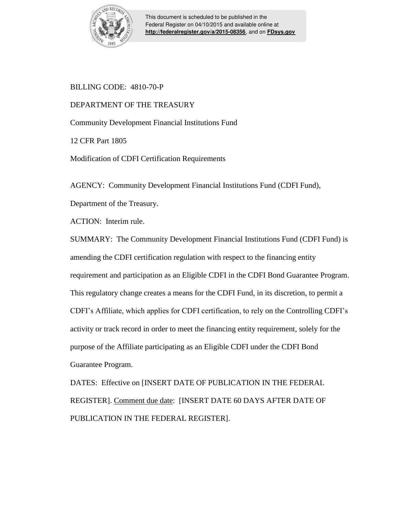

This document is scheduled to be published in the Federal Register on 04/10/2015 and available online at **<http://federalregister.gov/a/2015-08356>**, and on **[FDsys.gov](http://federalregister.gov/a/2015-08356.pdf)**

# BILLING CODE: 4810-70-P

# DEPARTMENT OF THE TREASURY

Community Development Financial Institutions Fund

12 CFR Part 1805

Modification of CDFI Certification Requirements

AGENCY: Community Development Financial Institutions Fund (CDFI Fund),

Department of the Treasury.

ACTION: Interim rule.

SUMMARY: The Community Development Financial Institutions Fund (CDFI Fund) is amending the CDFI certification regulation with respect to the financing entity requirement and participation as an Eligible CDFI in the CDFI Bond Guarantee Program. This regulatory change creates a means for the CDFI Fund, in its discretion, to permit a CDFI's Affiliate, which applies for CDFI certification, to rely on the Controlling CDFI's activity or track record in order to meet the financing entity requirement, solely for the purpose of the Affiliate participating as an Eligible CDFI under the CDFI Bond Guarantee Program.

DATES: Effective on [INSERT DATE OF PUBLICATION IN THE FEDERAL REGISTER]. Comment due date: [INSERT DATE 60 DAYS AFTER DATE OF PUBLICATION IN THE FEDERAL REGISTER].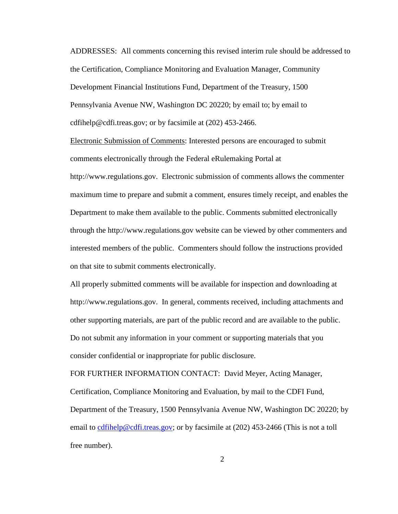ADDRESSES:All comments concerning this revised interim rule should be addressed to the Certification, Compliance Monitoring and Evaluation Manager, Community Development Financial Institutions Fund, Department of the Treasury, 1500 Pennsylvania Avenue NW, Washington DC 20220; by email to; by email to [cdfihelp@cdfi.treas.gov;](mailto:cdfihelp@cdfi.treas.gov) or by facsimile at (202) 453-2466.

Electronic Submission of Comments: Interested persons are encouraged to submit comments electronically through the Federal eRulemaking Portal at http://www.regulations.gov. Electronic submission of comments allows the commenter maximum time to prepare and submit a comment, ensures timely receipt, and enables the Department to make them available to the public. Comments submitted electronically through the http://www.regulations.gov website can be viewed by other commenters and interested members of the public. Commenters should follow the instructions provided on that site to submit comments electronically.

All properly submitted comments will be available for inspection and downloading at http://www.regulations.gov. In general, comments received, including attachments and other supporting materials, are part of the public record and are available to the public. Do not submit any information in your comment or supporting materials that you consider confidential or inappropriate for public disclosure.

FOR FURTHER INFORMATION CONTACT: David Meyer, Acting Manager, Certification, Compliance Monitoring and Evaluation, by mail to the CDFI Fund, Department of the Treasury, 1500 Pennsylvania Avenue NW, Washington DC 20220; by email to [cdfihelp@cdfi.treas.gov;](mailto:cdfihelp@cdfi.treas.gov) or by facsimile at (202) 453-2466 (This is not a toll free number).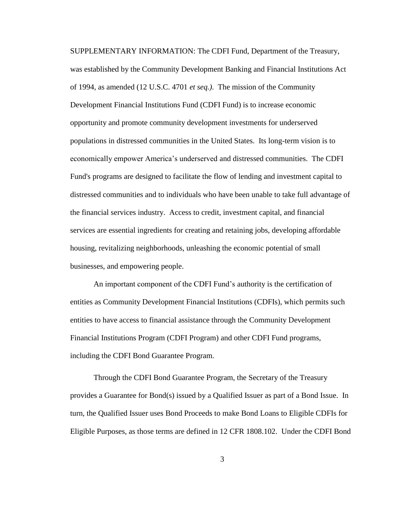SUPPLEMENTARY INFORMATION: The CDFI Fund, Department of the Treasury, was established by the Community Development Banking and Financial Institutions Act of 1994, as amended (12 U.S.C. 4701 *et seq.)*. The mission of the Community Development Financial Institutions Fund (CDFI Fund) is to increase economic opportunity and promote community development investments for underserved populations in distressed communities in the United States. Its long-term vision is to economically empower America's underserved and distressed communities. The CDFI Fund's programs are designed to facilitate the flow of lending and investment capital to distressed communities and to individuals who have been unable to take full advantage of the financial services industry. Access to credit, investment capital, and financial services are essential ingredients for creating and retaining jobs, developing affordable housing, revitalizing neighborhoods, unleashing the economic potential of small businesses, and empowering people.

An important component of the CDFI Fund's authority is the certification of entities as Community Development Financial Institutions (CDFIs), which permits such entities to have access to financial assistance through the Community Development Financial Institutions Program (CDFI Program) and other CDFI Fund programs, including the CDFI Bond Guarantee Program.

Through the CDFI Bond Guarantee Program, the Secretary of the Treasury provides a Guarantee for Bond(s) issued by a Qualified Issuer as part of a Bond Issue. In turn, the Qualified Issuer uses Bond Proceeds to make Bond Loans to Eligible CDFIs for Eligible Purposes, as those terms are defined in 12 CFR 1808.102. Under the CDFI Bond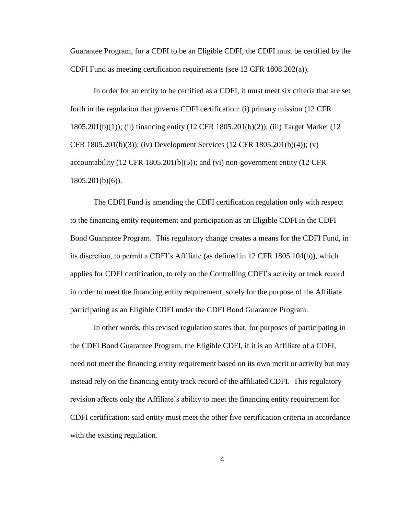Guarantee Program, for a CDFI to be an Eligible CDFI, the CDFI must be certified by the CDFI Fund as meeting certification requirements (see 12 CFR 1808.202(a)).

In order for an entity to be certified as a CDFI, it must meet six criteria that are set forth in the regulation that governs CDFI certification: (i) primary mission (12 CFR 1805.201(b)(1)); (ii) financing entity (12 CFR 1805.201(b)(2)); (iii) Target Market (12 CFR 1805.201(b)(3)); (iv) Development Services (12 CFR 1805.201(b)(4)); (v) accountability  $(12 \text{ CFR } 1805.201(b)(5))$ ; and  $(vi)$  non-government entity  $(12 \text{ CFR } 1605.201(b)(5))$ 1805.201(b)(6)).

The CDFI Fund is amending the CDFI certification regulation only with respect to the financing entity requirement and participation as an Eligible CDFI in the CDFI Bond Guarantee Program. This regulatory change creates a means for the CDFI Fund, in its discretion, to permit a CDFI's Affiliate (as defined in 12 CFR 1805.104(b)), which applies for CDFI certification, to rely on the Controlling CDFI's activity or track record in order to meet the financing entity requirement, solely for the purpose of the Affiliate participating as an Eligible CDFI under the CDFI Bond Guarantee Program.

In other words, this revised regulation states that, for purposes of participating in the CDFI Bond Guarantee Program, the Eligible CDFI, if it is an Affiliate of a CDFI, need not meet the financing entity requirement based on its own merit or activity but may instead rely on the financing entity track record of the affiliated CDFI. This regulatory revision affects only the Affiliate's ability to meet the financing entity requirement for CDFI certification: said entity must meet the other five certification criteria in accordance with the existing regulation.

4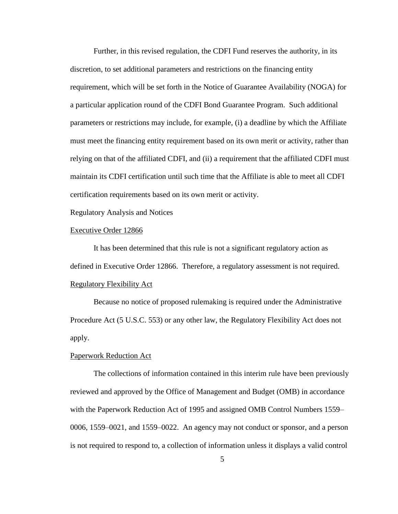Further, in this revised regulation, the CDFI Fund reserves the authority, in its discretion, to set additional parameters and restrictions on the financing entity requirement, which will be set forth in the Notice of Guarantee Availability (NOGA) for a particular application round of the CDFI Bond Guarantee Program. Such additional parameters or restrictions may include, for example, (i) a deadline by which the Affiliate must meet the financing entity requirement based on its own merit or activity, rather than relying on that of the affiliated CDFI, and (ii) a requirement that the affiliated CDFI must maintain its CDFI certification until such time that the Affiliate is able to meet all CDFI certification requirements based on its own merit or activity.

Regulatory Analysis and Notices

### Executive Order 12866

It has been determined that this rule is not a significant regulatory action as defined in Executive Order 12866. Therefore, a regulatory assessment is not required. Regulatory Flexibility Act

Because no notice of proposed rulemaking is required under the Administrative Procedure Act (5 U.S.C. 553) or any other law, the Regulatory Flexibility Act does not apply.

#### Paperwork Reduction Act

The collections of information contained in this interim rule have been previously reviewed and approved by the Office of Management and Budget (OMB) in accordance with the Paperwork Reduction Act of 1995 and assigned OMB Control Numbers 1559– 0006, 1559–0021, and 1559–0022. An agency may not conduct or sponsor, and a person is not required to respond to, a collection of information unless it displays a valid control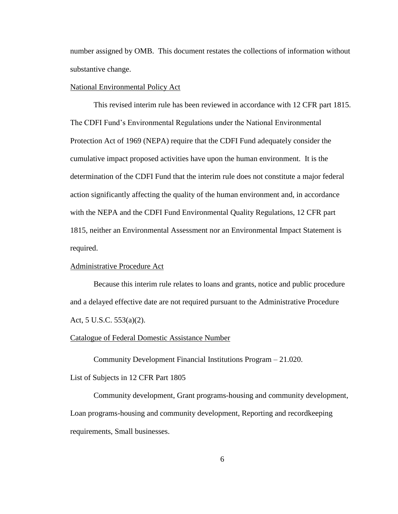number assigned by OMB. This document restates the collections of information without substantive change.

## National Environmental Policy Act

This revised interim rule has been reviewed in accordance with 12 CFR part 1815. The CDFI Fund's Environmental Regulations under the National Environmental Protection Act of 1969 (NEPA) require that the CDFI Fund adequately consider the cumulative impact proposed activities have upon the human environment. It is the determination of the CDFI Fund that the interim rule does not constitute a major federal action significantly affecting the quality of the human environment and, in accordance with the NEPA and the CDFI Fund Environmental Quality Regulations, 12 CFR part 1815, neither an Environmental Assessment nor an Environmental Impact Statement is required.

## Administrative Procedure Act

Because this interim rule relates to loans and grants, notice and public procedure and a delayed effective date are not required pursuant to the Administrative Procedure Act, 5 U.S.C. 553(a)(2).

#### Catalogue of Federal Domestic Assistance Number

Community Development Financial Institutions Program – 21.020.

List of Subjects in 12 CFR Part 1805

Community development, Grant programs-housing and community development, Loan programs-housing and community development, Reporting and recordkeeping requirements, Small businesses.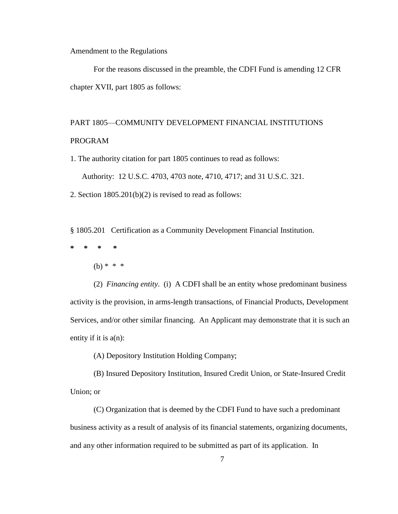Amendment to the Regulations

For the reasons discussed in the preamble, the CDFI Fund is amending 12 CFR chapter XVII, part 1805 as follows:

# PART 1805—COMMUNITY DEVELOPMENT FINANCIAL INSTITUTIONS PROGRAM

1. The authority citation for part 1805 continues to read as follows:

Authority: 12 U.S.C. 4703, 4703 note, 4710, 4717; and 31 U.S.C. 321.

2. Section  $1805.201(b)(2)$  is revised to read as follows:

§ 1805.201 Certification as a Community Development Financial Institution.

- **\* \* \* \***
	- (b)  $* * * *$

(2) *Financing entity*. (i) A CDFI shall be an entity whose predominant business activity is the provision, in arms-length transactions, of Financial Products, Development Services, and/or other similar financing. An Applicant may demonstrate that it is such an entity if it is  $a(n)$ :

(A) Depository Institution Holding Company;

(B) Insured Depository Institution, Insured Credit Union, or State-Insured Credit Union; or

(C) Organization that is deemed by the CDFI Fund to have such a predominant business activity as a result of analysis of its financial statements, organizing documents, and any other information required to be submitted as part of its application. In